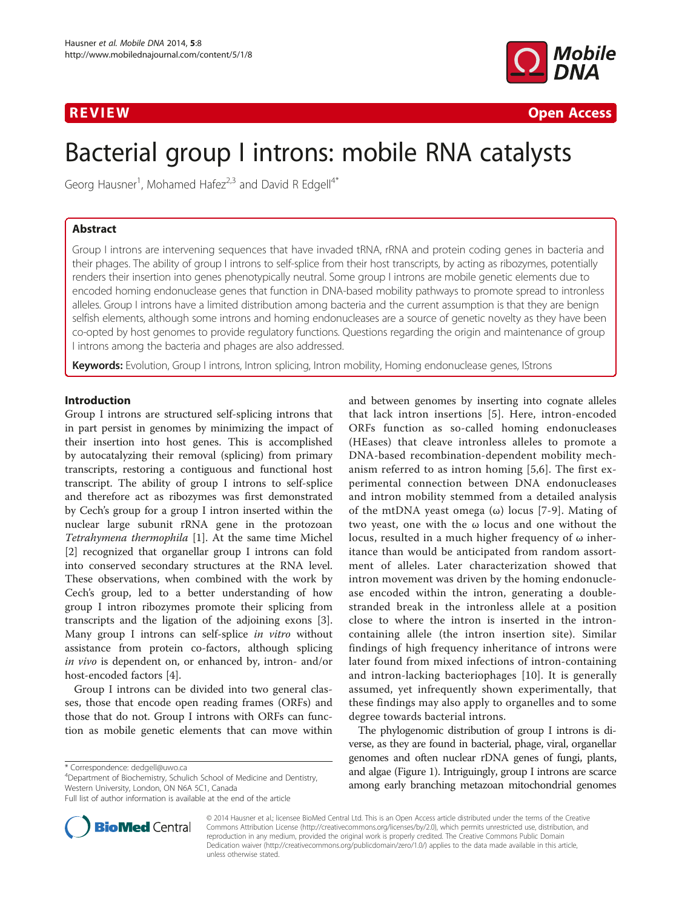

R EVI EW Open Access

# Bacterial group I introns: mobile RNA catalysts

Georg Hausner<sup>1</sup>, Mohamed Hafez<sup>2,3</sup> and David R Edgell<sup>4\*</sup>

# Abstract

Group I introns are intervening sequences that have invaded tRNA, rRNA and protein coding genes in bacteria and their phages. The ability of group I introns to self-splice from their host transcripts, by acting as ribozymes, potentially renders their insertion into genes phenotypically neutral. Some group I introns are mobile genetic elements due to encoded homing endonuclease genes that function in DNA-based mobility pathways to promote spread to intronless alleles. Group I introns have a limited distribution among bacteria and the current assumption is that they are benign selfish elements, although some introns and homing endonucleases are a source of genetic novelty as they have been co-opted by host genomes to provide regulatory functions. Questions regarding the origin and maintenance of group I introns among the bacteria and phages are also addressed.

Keywords: Evolution, Group I introns, Intron splicing, Intron mobility, Homing endonuclease genes, IStrons

# Introduction

Group I introns are structured self-splicing introns that in part persist in genomes by minimizing the impact of their insertion into host genes. This is accomplished by autocatalyzing their removal (splicing) from primary transcripts, restoring a contiguous and functional host transcript. The ability of group I introns to self-splice and therefore act as ribozymes was first demonstrated by Cech's group for a group I intron inserted within the nuclear large subunit rRNA gene in the protozoan Tetrahymena thermophila [\[1](#page-8-0)]. At the same time Michel [[2\]](#page-8-0) recognized that organellar group I introns can fold into conserved secondary structures at the RNA level. These observations, when combined with the work by Cech's group, led to a better understanding of how group I intron ribozymes promote their splicing from transcripts and the ligation of the adjoining exons [\[3](#page-8-0)]. Many group I introns can self-splice in vitro without assistance from protein co-factors, although splicing in vivo is dependent on, or enhanced by, intron- and/or host-encoded factors [\[4\]](#page-8-0).

Group I introns can be divided into two general classes, those that encode open reading frames (ORFs) and those that do not. Group I introns with ORFs can function as mobile genetic elements that can move within

<sup>4</sup>Department of Biochemistry, Schulich School of Medicine and Dentistry, Western University, London, ON N6A 5C1, Canada



and between genomes by inserting into cognate alleles

The phylogenomic distribution of group I introns is diverse, as they are found in bacterial, phage, viral, organellar genomes and often nuclear rDNA genes of fungi, plants, and algae (Figure [1](#page-1-0)). Intriguingly, group I introns are scarce among early branching metazoan mitochondrial genomes



© 2014 Hausner et al.; licensee BioMed Central Ltd. This is an Open Access article distributed under the terms of the Creative Commons Attribution License [\(http://creativecommons.org/licenses/by/2.0\)](http://creativecommons.org/licenses/by/2.0), which permits unrestricted use, distribution, and reproduction in any medium, provided the original work is properly credited. The Creative Commons Public Domain Dedication waiver [\(http://creativecommons.org/publicdomain/zero/1.0/](http://creativecommons.org/publicdomain/zero/1.0/)) applies to the data made available in this article, unless otherwise stated.

<sup>\*</sup> Correspondence: [dedgell@uwo.ca](mailto:dedgell@uwo.ca) <sup>4</sup>

Full list of author information is available at the end of the article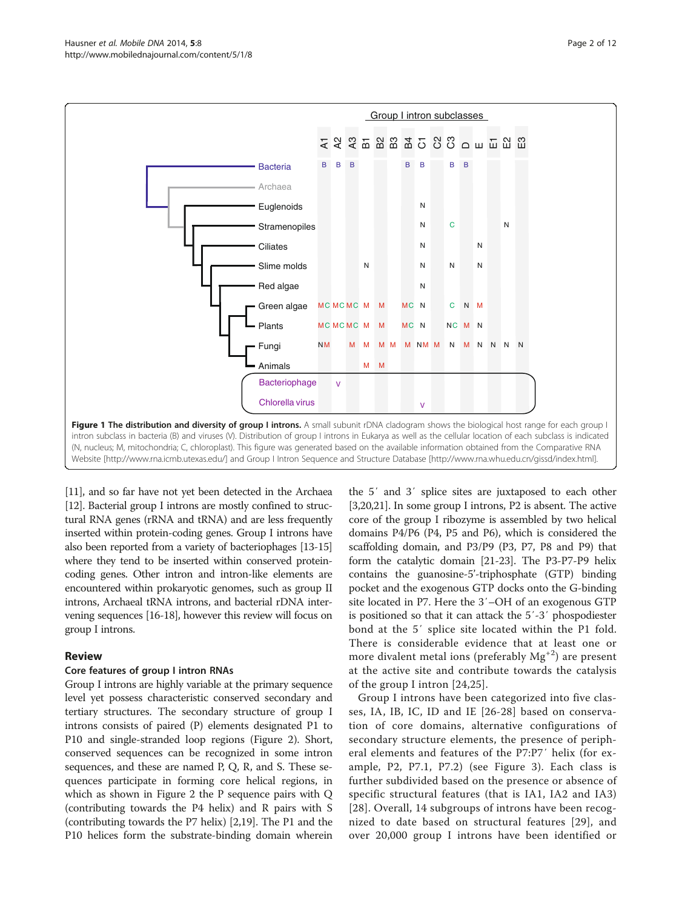<span id="page-1-0"></span>

[[11](#page-8-0)], and so far have not yet been detected in the Archaea [[12](#page-8-0)]. Bacterial group I introns are mostly confined to structural RNA genes (rRNA and tRNA) and are less frequently inserted within protein-coding genes. Group I introns have also been reported from a variety of bacteriophages [\[13-15](#page-8-0)] where they tend to be inserted within conserved proteincoding genes. Other intron and intron-like elements are encountered within prokaryotic genomes, such as group II introns, Archaeal tRNA introns, and bacterial rDNA intervening sequences [\[16-18\]](#page-8-0), however this review will focus on group I introns.

# Review

## Core features of group I intron RNAs

Group I introns are highly variable at the primary sequence level yet possess characteristic conserved secondary and tertiary structures. The secondary structure of group I introns consists of paired (P) elements designated P1 to P10 and single-stranded loop regions (Figure [2](#page-2-0)). Short, conserved sequences can be recognized in some intron sequences, and these are named P, Q, R, and S. These sequences participate in forming core helical regions, in which as shown in Figure [2](#page-2-0) the P sequence pairs with Q (contributing towards the P4 helix) and R pairs with S (contributing towards the P7 helix) [[2](#page-8-0),[19](#page-8-0)]. The P1 and the P10 helices form the substrate-binding domain wherein

the 5′ and 3′ splice sites are juxtaposed to each other [[3,20,21](#page-8-0)]. In some group I introns, P2 is absent. The active core of the group I ribozyme is assembled by two helical domains P4/P6 (P4, P5 and P6), which is considered the scaffolding domain, and P3/P9 (P3, P7, P8 and P9) that form the catalytic domain [[21-23\]](#page-8-0). The P3-P7-P9 helix contains the guanosine-5'-triphosphate (GTP) binding pocket and the exogenous GTP docks onto the G-binding site located in P7. Here the 3′–OH of an exogenous GTP is positioned so that it can attack the 5′-3′ phospodiester bond at the 5′ splice site located within the P1 fold. There is considerable evidence that at least one or more divalent metal ions (preferably  $Mg^{+2}$ ) are present at the active site and contribute towards the catalysis of the group I intron [[24](#page-8-0),[25\]](#page-8-0).

Group I introns have been categorized into five classes, IA, IB, IC, ID and IE [[26-28\]](#page-9-0) based on conservation of core domains, alternative configurations of secondary structure elements, the presence of peripheral elements and features of the P7:P7′ helix (for example, P2, P7.1, P7.2) (see Figure [3](#page-3-0)). Each class is further subdivided based on the presence or absence of specific structural features (that is IA1, IA2 and IA3) [[28](#page-9-0)]. Overall, 14 subgroups of introns have been recognized to date based on structural features [\[29](#page-9-0)], and over 20,000 group I introns have been identified or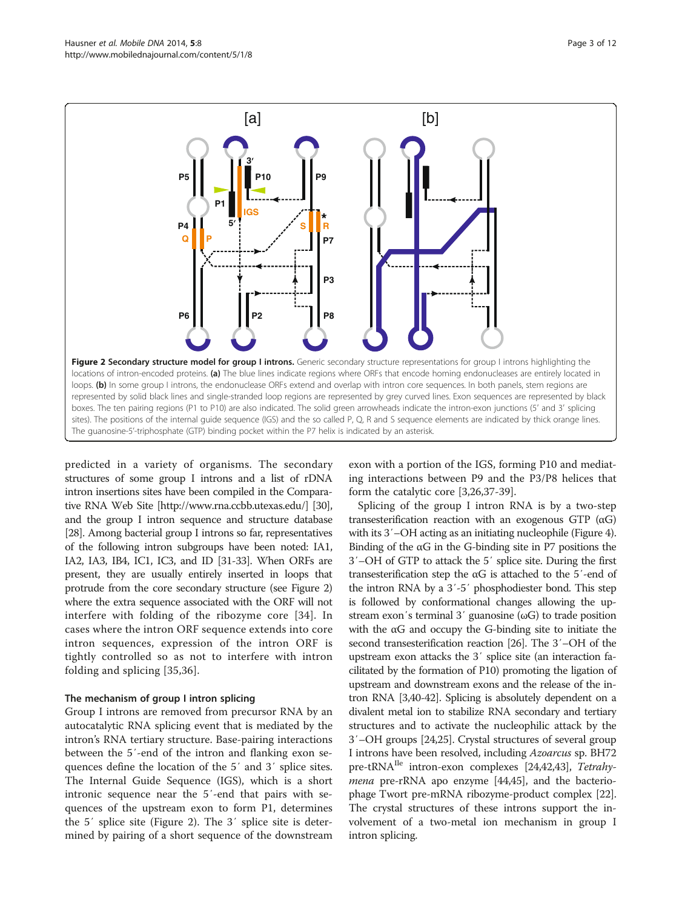<span id="page-2-0"></span>

predicted in a variety of organisms. The secondary structures of some group I introns and a list of rDNA intron insertions sites have been compiled in the Comparative RNA Web Site [\[http://www.rna.ccbb.utexas.edu/\]](http://www.rna.ccbb.utexas.edu/) [\[30](#page-9-0)], and the group I intron sequence and structure database [[28](#page-9-0)]. Among bacterial group I introns so far, representatives of the following intron subgroups have been noted: IA1, IA2, IA3, IB4, IC1, IC3, and ID [\[31-33](#page-9-0)]. When ORFs are present, they are usually entirely inserted in loops that protrude from the core secondary structure (see Figure 2) where the extra sequence associated with the ORF will not interfere with folding of the ribozyme core [[34\]](#page-9-0). In cases where the intron ORF sequence extends into core intron sequences, expression of the intron ORF is tightly controlled so as not to interfere with intron folding and splicing [[35](#page-9-0),[36\]](#page-9-0).

# The mechanism of group I intron splicing

Group I introns are removed from precursor RNA by an autocatalytic RNA splicing event that is mediated by the intron's RNA tertiary structure. Base-pairing interactions between the 5′-end of the intron and flanking exon sequences define the location of the 5′ and 3′ splice sites. The Internal Guide Sequence (IGS), which is a short intronic sequence near the 5′-end that pairs with sequences of the upstream exon to form P1, determines the 5′ splice site (Figure 2). The 3′ splice site is determined by pairing of a short sequence of the downstream

exon with a portion of the IGS, forming P10 and mediating interactions between P9 and the P3/P8 helices that form the catalytic core [\[3](#page-8-0),[26](#page-9-0),[37](#page-9-0)-[39\]](#page-9-0).

Splicing of the group I intron RNA is by a two-step transesterification reaction with an exogenous GTP (αG) with its 3′–OH acting as an initiating nucleophile (Figure [4](#page-4-0)). Binding of the  $\alpha$ G in the G-binding site in P7 positions the 3′–OH of GTP to attack the 5′ splice site. During the first transesterification step the αG is attached to the 5′-end of the intron RNA by a 3′-5′ phosphodiester bond. This step is followed by conformational changes allowing the upstream exon's terminal 3' guanosine  $(\omega G)$  to trade position with the αG and occupy the G-binding site to initiate the second transesterification reaction [\[26](#page-9-0)]. The 3′–OH of the upstream exon attacks the 3′ splice site (an interaction facilitated by the formation of P10) promoting the ligation of upstream and downstream exons and the release of the intron RNA [\[3](#page-8-0)[,40-42](#page-9-0)]. Splicing is absolutely dependent on a divalent metal ion to stabilize RNA secondary and tertiary structures and to activate the nucleophilic attack by the 3′–OH groups [[24,25\]](#page-8-0). Crystal structures of several group I introns have been resolved, including Azoarcus sp. BH72 pre-tRNA<sup>Ile</sup> intron-exon complexes [\[24,](#page-8-0)[42,43](#page-9-0)], Tetrahy-mena pre-rRNA apo enzyme [[44,45\]](#page-9-0), and the bacteriophage Twort pre-mRNA ribozyme-product complex [[22](#page-8-0)]. The crystal structures of these introns support the involvement of a two-metal ion mechanism in group I intron splicing.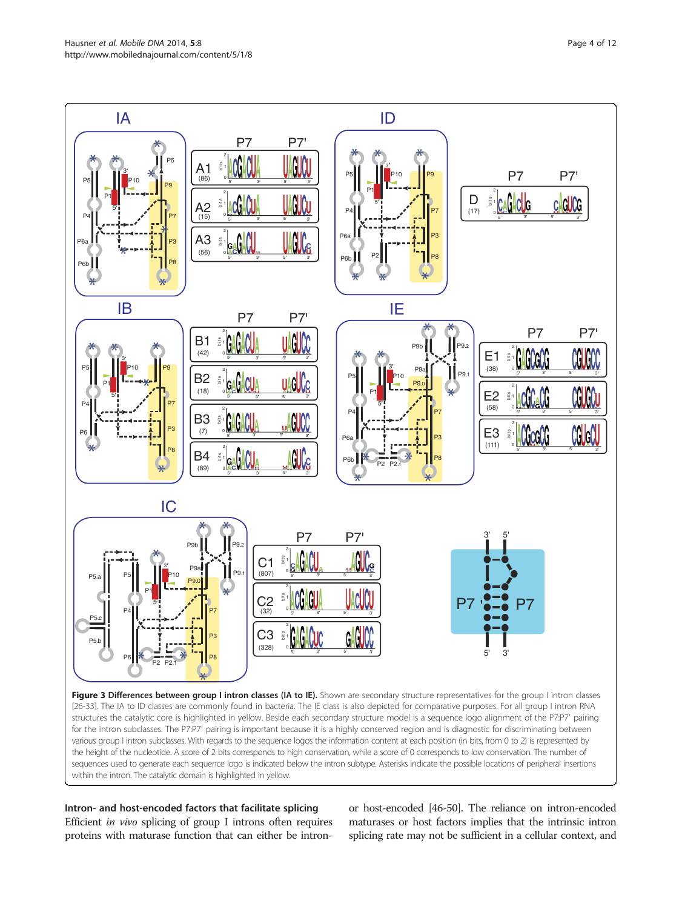<span id="page-3-0"></span>

Intron- and host-encoded factors that facilitate splicing Efficient in vivo splicing of group I introns often requires proteins with maturase function that can either be intron-

or host-encoded [\[46-50\]](#page-9-0). The reliance on intron-encoded maturases or host factors implies that the intrinsic intron splicing rate may not be sufficient in a cellular context, and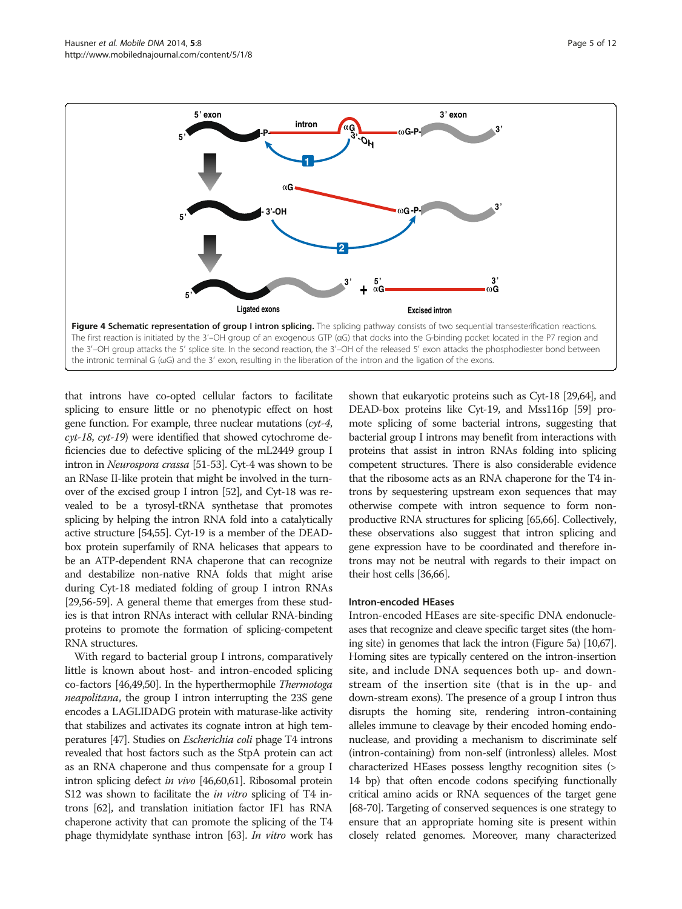<span id="page-4-0"></span>

that introns have co-opted cellular factors to facilitate splicing to ensure little or no phenotypic effect on host gene function. For example, three nuclear mutations (cyt-4, cyt-18, cyt-19) were identified that showed cytochrome deficiencies due to defective splicing of the mL2449 group I intron in Neurospora crassa [\[51-53](#page-9-0)]. Cyt-4 was shown to be an RNase II-like protein that might be involved in the turnover of the excised group I intron [\[52](#page-9-0)], and Cyt-18 was revealed to be a tyrosyl-tRNA synthetase that promotes splicing by helping the intron RNA fold into a catalytically active structure [[54,55](#page-9-0)]. Cyt-19 is a member of the DEADbox protein superfamily of RNA helicases that appears to be an ATP-dependent RNA chaperone that can recognize and destabilize non-native RNA folds that might arise during Cyt-18 mediated folding of group I intron RNAs [[29,56-59](#page-9-0)]. A general theme that emerges from these studies is that intron RNAs interact with cellular RNA-binding proteins to promote the formation of splicing-competent RNA structures.

With regard to bacterial group I introns, comparatively little is known about host- and intron-encoded splicing co-factors [[46,49,50\]](#page-9-0). In the hyperthermophile Thermotoga neapolitana, the group I intron interrupting the 23S gene encodes a LAGLIDADG protein with maturase-like activity that stabilizes and activates its cognate intron at high temperatures [\[47](#page-9-0)]. Studies on Escherichia coli phage T4 introns revealed that host factors such as the StpA protein can act as an RNA chaperone and thus compensate for a group I intron splicing defect in vivo [\[46,60,61](#page-9-0)]. Ribosomal protein S12 was shown to facilitate the *in vitro* splicing of T4 introns [[62\]](#page-9-0), and translation initiation factor IF1 has RNA chaperone activity that can promote the splicing of the T4 phage thymidylate synthase intron [[63](#page-9-0)]. In vitro work has shown that eukaryotic proteins such as Cyt-18 [\[29,64\]](#page-9-0), and DEAD-box proteins like Cyt-19, and Mss116p [\[59\]](#page-9-0) promote splicing of some bacterial introns, suggesting that bacterial group I introns may benefit from interactions with proteins that assist in intron RNAs folding into splicing competent structures. There is also considerable evidence that the ribosome acts as an RNA chaperone for the T4 introns by sequestering upstream exon sequences that may otherwise compete with intron sequence to form nonproductive RNA structures for splicing [[65,66\]](#page-9-0). Collectively, these observations also suggest that intron splicing and gene expression have to be coordinated and therefore introns may not be neutral with regards to their impact on their host cells [\[36,66](#page-9-0)].

#### Intron-encoded HEases

Intron-encoded HEases are site-specific DNA endonucleases that recognize and cleave specific target sites (the homing site) in genomes that lack the intron (Figure [5a](#page-5-0)) [[10](#page-8-0)[,67](#page-9-0)]. Homing sites are typically centered on the intron-insertion site, and include DNA sequences both up- and downstream of the insertion site (that is in the up- and down-stream exons). The presence of a group I intron thus disrupts the homing site, rendering intron-containing alleles immune to cleavage by their encoded homing endonuclease, and providing a mechanism to discriminate self (intron-containing) from non-self (intronless) alleles. Most characterized HEases possess lengthy recognition sites (> 14 bp) that often encode codons specifying functionally critical amino acids or RNA sequences of the target gene [[68](#page-9-0)-[70\]](#page-9-0). Targeting of conserved sequences is one strategy to ensure that an appropriate homing site is present within closely related genomes. Moreover, many characterized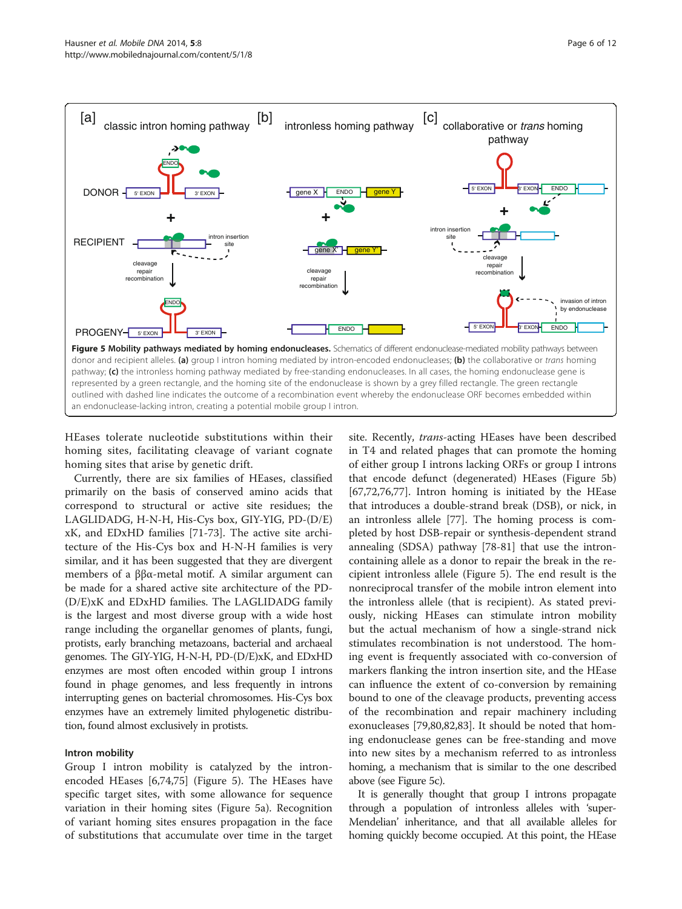<span id="page-5-0"></span>![](_page_5_Figure_2.jpeg)

HEases tolerate nucleotide substitutions within their homing sites, facilitating cleavage of variant cognate homing sites that arise by genetic drift.

Currently, there are six families of HEases, classified primarily on the basis of conserved amino acids that correspond to structural or active site residues; the LAGLIDADG, H-N-H, His-Cys box, GIY-YIG, PD-(D/E) xK, and EDxHD families [\[71](#page-9-0)-[73\]](#page-9-0). The active site architecture of the His-Cys box and H-N-H families is very similar, and it has been suggested that they are divergent members of a ββα-metal motif. A similar argument can be made for a shared active site architecture of the PD- (D/E)xK and EDxHD families. The LAGLIDADG family is the largest and most diverse group with a wide host range including the organellar genomes of plants, fungi, protists, early branching metazoans, bacterial and archaeal genomes. The GIY-YIG, H-N-H, PD-(D/E)xK, and EDxHD enzymes are most often encoded within group I introns found in phage genomes, and less frequently in introns interrupting genes on bacterial chromosomes. His-Cys box enzymes have an extremely limited phylogenetic distribution, found almost exclusively in protists.

#### Intron mobility

Group I intron mobility is catalyzed by the intronencoded HEases [[6,](#page-8-0)[74](#page-9-0),[75](#page-9-0)] (Figure 5). The HEases have specific target sites, with some allowance for sequence variation in their homing sites (Figure 5a). Recognition of variant homing sites ensures propagation in the face of substitutions that accumulate over time in the target

site. Recently, trans-acting HEases have been described in T4 and related phages that can promote the homing of either group I introns lacking ORFs or group I introns that encode defunct (degenerated) HEases (Figure 5b) [[67,72,](#page-9-0)[76,77\]](#page-10-0). Intron homing is initiated by the HEase that introduces a double-strand break (DSB), or nick, in an intronless allele [\[77](#page-10-0)]. The homing process is completed by host DSB-repair or synthesis-dependent strand annealing (SDSA) pathway [\[78-81](#page-10-0)] that use the introncontaining allele as a donor to repair the break in the recipient intronless allele (Figure 5). The end result is the nonreciprocal transfer of the mobile intron element into the intronless allele (that is recipient). As stated previously, nicking HEases can stimulate intron mobility but the actual mechanism of how a single-strand nick stimulates recombination is not understood. The homing event is frequently associated with co-conversion of markers flanking the intron insertion site, and the HEase can influence the extent of co-conversion by remaining bound to one of the cleavage products, preventing access of the recombination and repair machinery including exonucleases [[79,80,82,83\]](#page-10-0). It should be noted that homing endonuclease genes can be free-standing and move into new sites by a mechanism referred to as intronless homing, a mechanism that is similar to the one described above (see Figure 5c).

It is generally thought that group I introns propagate through a population of intronless alleles with 'super-Mendelian' inheritance, and that all available alleles for homing quickly become occupied. At this point, the HEase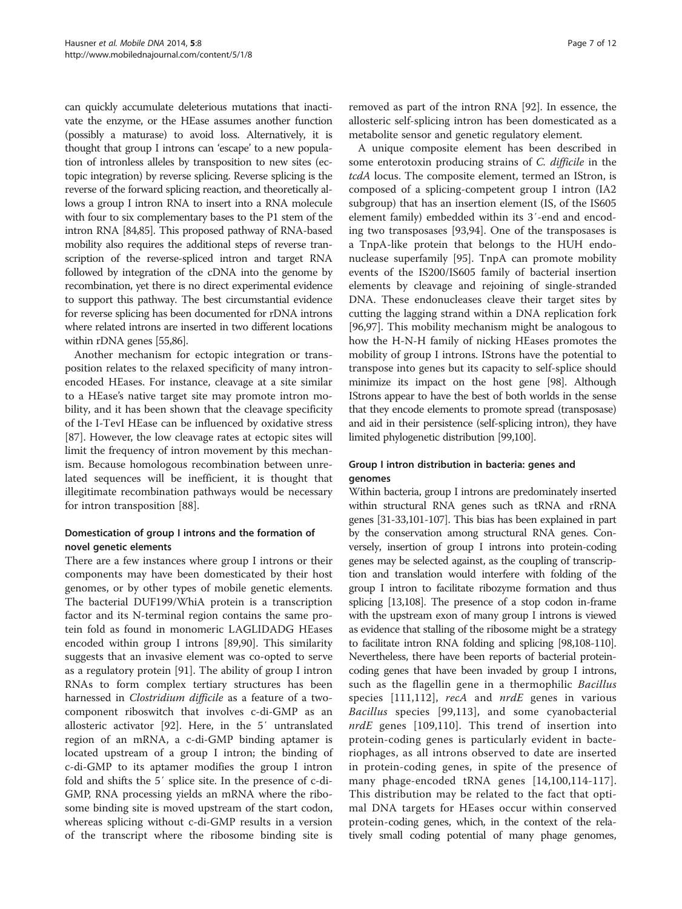can quickly accumulate deleterious mutations that inactivate the enzyme, or the HEase assumes another function (possibly a maturase) to avoid loss. Alternatively, it is thought that group I introns can 'escape' to a new population of intronless alleles by transposition to new sites (ectopic integration) by reverse splicing. Reverse splicing is the reverse of the forward splicing reaction, and theoretically allows a group I intron RNA to insert into a RNA molecule with four to six complementary bases to the P1 stem of the intron RNA [\[84,85\]](#page-10-0). This proposed pathway of RNA-based mobility also requires the additional steps of reverse transcription of the reverse-spliced intron and target RNA followed by integration of the cDNA into the genome by recombination, yet there is no direct experimental evidence to support this pathway. The best circumstantial evidence for reverse splicing has been documented for rDNA introns where related introns are inserted in two different locations within rDNA genes [[55](#page-9-0)[,86](#page-10-0)].

Another mechanism for ectopic integration or transposition relates to the relaxed specificity of many intronencoded HEases. For instance, cleavage at a site similar to a HEase's native target site may promote intron mobility, and it has been shown that the cleavage specificity of the I-TevI HEase can be influenced by oxidative stress [[87\]](#page-10-0). However, the low cleavage rates at ectopic sites will limit the frequency of intron movement by this mechanism. Because homologous recombination between unrelated sequences will be inefficient, it is thought that illegitimate recombination pathways would be necessary for intron transposition [\[88\]](#page-10-0).

# Domestication of group I introns and the formation of novel genetic elements

There are a few instances where group I introns or their components may have been domesticated by their host genomes, or by other types of mobile genetic elements. The bacterial DUF199/WhiA protein is a transcription factor and its N-terminal region contains the same protein fold as found in monomeric LAGLIDADG HEases encoded within group I introns [[89](#page-10-0),[90](#page-10-0)]. This similarity suggests that an invasive element was co-opted to serve as a regulatory protein [[91](#page-10-0)]. The ability of group I intron RNAs to form complex tertiary structures has been harnessed in *Clostridium difficile* as a feature of a twocomponent riboswitch that involves c-di-GMP as an allosteric activator [[92](#page-10-0)]. Here, in the 5′ untranslated region of an mRNA, a c-di-GMP binding aptamer is located upstream of a group I intron; the binding of c-di-GMP to its aptamer modifies the group I intron fold and shifts the 5′ splice site. In the presence of c-di-GMP, RNA processing yields an mRNA where the ribosome binding site is moved upstream of the start codon, whereas splicing without c-di-GMP results in a version of the transcript where the ribosome binding site is removed as part of the intron RNA [[92\]](#page-10-0). In essence, the allosteric self-splicing intron has been domesticated as a metabolite sensor and genetic regulatory element.

A unique composite element has been described in some enterotoxin producing strains of C. difficile in the tcdA locus. The composite element, termed an IStron, is composed of a splicing-competent group I intron (IA2 subgroup) that has an insertion element (IS, of the IS605 element family) embedded within its 3′-end and encoding two transposases [[93](#page-10-0),[94](#page-10-0)]. One of the transposases is a TnpA-like protein that belongs to the HUH endonuclease superfamily [[95\]](#page-10-0). TnpA can promote mobility events of the IS200/IS605 family of bacterial insertion elements by cleavage and rejoining of single-stranded DNA. These endonucleases cleave their target sites by cutting the lagging strand within a DNA replication fork [[96,97\]](#page-10-0). This mobility mechanism might be analogous to how the H-N-H family of nicking HEases promotes the mobility of group I introns. IStrons have the potential to transpose into genes but its capacity to self-splice should minimize its impact on the host gene [[98](#page-10-0)]. Although IStrons appear to have the best of both worlds in the sense that they encode elements to promote spread (transposase) and aid in their persistence (self-splicing intron), they have limited phylogenetic distribution [[99,100](#page-10-0)].

# Group I intron distribution in bacteria: genes and genomes

Within bacteria, group I introns are predominately inserted within structural RNA genes such as tRNA and rRNA genes [\[31-33,](#page-9-0)[101-107](#page-10-0)]. This bias has been explained in part by the conservation among structural RNA genes. Conversely, insertion of group I introns into protein-coding genes may be selected against, as the coupling of transcription and translation would interfere with folding of the group I intron to facilitate ribozyme formation and thus splicing [[13](#page-8-0)[,108](#page-10-0)]. The presence of a stop codon in-frame with the upstream exon of many group I introns is viewed as evidence that stalling of the ribosome might be a strategy to facilitate intron RNA folding and splicing [\[98,108-110](#page-10-0)]. Nevertheless, there have been reports of bacterial proteincoding genes that have been invaded by group I introns, such as the flagellin gene in a thermophilic *Bacillus* species  $[111,112]$  $[111,112]$ , recA and nrdE genes in various Bacillus species [[99,113\]](#page-10-0), and some cyanobacterial  $nrdE$  genes [[109,110\]](#page-10-0). This trend of insertion into protein-coding genes is particularly evident in bacteriophages, as all introns observed to date are inserted in protein-coding genes, in spite of the presence of many phage-encoded tRNA genes [[14,](#page-8-0)[100](#page-10-0),[114-117](#page-10-0)]. This distribution may be related to the fact that optimal DNA targets for HEases occur within conserved protein-coding genes, which, in the context of the relatively small coding potential of many phage genomes,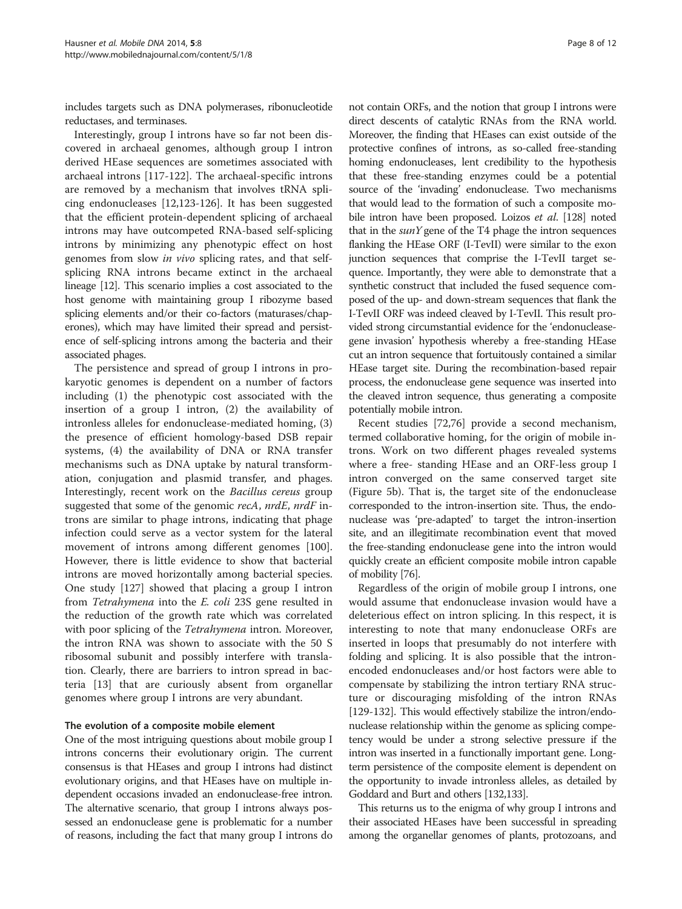includes targets such as DNA polymerases, ribonucleotide reductases, and terminases.

Interestingly, group I introns have so far not been discovered in archaeal genomes, although group I intron derived HEase sequences are sometimes associated with archaeal introns [\[117](#page-10-0)-[122](#page-10-0)]. The archaeal-specific introns are removed by a mechanism that involves tRNA splicing endonucleases [\[12](#page-8-0)[,123-126](#page-11-0)]. It has been suggested that the efficient protein-dependent splicing of archaeal introns may have outcompeted RNA-based self-splicing introns by minimizing any phenotypic effect on host genomes from slow in vivo splicing rates, and that selfsplicing RNA introns became extinct in the archaeal lineage [\[12\]](#page-8-0). This scenario implies a cost associated to the host genome with maintaining group I ribozyme based splicing elements and/or their co-factors (maturases/chaperones), which may have limited their spread and persistence of self-splicing introns among the bacteria and their associated phages.

The persistence and spread of group I introns in prokaryotic genomes is dependent on a number of factors including (1) the phenotypic cost associated with the insertion of a group I intron, (2) the availability of intronless alleles for endonuclease-mediated homing, (3) the presence of efficient homology-based DSB repair systems, (4) the availability of DNA or RNA transfer mechanisms such as DNA uptake by natural transformation, conjugation and plasmid transfer, and phages. Interestingly, recent work on the Bacillus cereus group suggested that some of the genomic recA, nrdE, nrdF introns are similar to phage introns, indicating that phage infection could serve as a vector system for the lateral movement of introns among different genomes [\[100](#page-10-0)]. However, there is little evidence to show that bacterial introns are moved horizontally among bacterial species. One study [\[127\]](#page-11-0) showed that placing a group I intron from Tetrahymena into the E. coli 23S gene resulted in the reduction of the growth rate which was correlated with poor splicing of the Tetrahymena intron. Moreover, the intron RNA was shown to associate with the 50 S ribosomal subunit and possibly interfere with translation. Clearly, there are barriers to intron spread in bacteria [[13\]](#page-8-0) that are curiously absent from organellar genomes where group I introns are very abundant.

#### The evolution of a composite mobile element

One of the most intriguing questions about mobile group I introns concerns their evolutionary origin. The current consensus is that HEases and group I introns had distinct evolutionary origins, and that HEases have on multiple independent occasions invaded an endonuclease-free intron. The alternative scenario, that group I introns always possessed an endonuclease gene is problematic for a number of reasons, including the fact that many group I introns do

not contain ORFs, and the notion that group I introns were direct descents of catalytic RNAs from the RNA world. Moreover, the finding that HEases can exist outside of the protective confines of introns, as so-called free-standing homing endonucleases, lent credibility to the hypothesis that these free-standing enzymes could be a potential source of the 'invading' endonuclease. Two mechanisms that would lead to the formation of such a composite mo-bile intron have been proposed. Loizos et al. [[128\]](#page-11-0) noted that in the  $\frac{sunY}{$  gene of the T4 phage the intron sequences flanking the HEase ORF (I-TevII) were similar to the exon junction sequences that comprise the I-TevII target sequence. Importantly, they were able to demonstrate that a synthetic construct that included the fused sequence composed of the up- and down-stream sequences that flank the I-TevII ORF was indeed cleaved by I-TevII. This result provided strong circumstantial evidence for the 'endonucleasegene invasion' hypothesis whereby a free-standing HEase cut an intron sequence that fortuitously contained a similar HEase target site. During the recombination-based repair process, the endonuclease gene sequence was inserted into the cleaved intron sequence, thus generating a composite potentially mobile intron.

Recent studies [[72,](#page-9-0)[76\]](#page-10-0) provide a second mechanism, termed collaborative homing, for the origin of mobile introns. Work on two different phages revealed systems where a free- standing HEase and an ORF-less group I intron converged on the same conserved target site (Figure [5](#page-5-0)b). That is, the target site of the endonuclease corresponded to the intron-insertion site. Thus, the endonuclease was 'pre-adapted' to target the intron-insertion site, and an illegitimate recombination event that moved the free-standing endonuclease gene into the intron would quickly create an efficient composite mobile intron capable of mobility [[76](#page-10-0)].

Regardless of the origin of mobile group I introns, one would assume that endonuclease invasion would have a deleterious effect on intron splicing. In this respect, it is interesting to note that many endonuclease ORFs are inserted in loops that presumably do not interfere with folding and splicing. It is also possible that the intronencoded endonucleases and/or host factors were able to compensate by stabilizing the intron tertiary RNA structure or discouraging misfolding of the intron RNAs [[129-132\]](#page-11-0). This would effectively stabilize the intron/endonuclease relationship within the genome as splicing competency would be under a strong selective pressure if the intron was inserted in a functionally important gene. Longterm persistence of the composite element is dependent on the opportunity to invade intronless alleles, as detailed by Goddard and Burt and others [\[132,133](#page-11-0)].

This returns us to the enigma of why group I introns and their associated HEases have been successful in spreading among the organellar genomes of plants, protozoans, and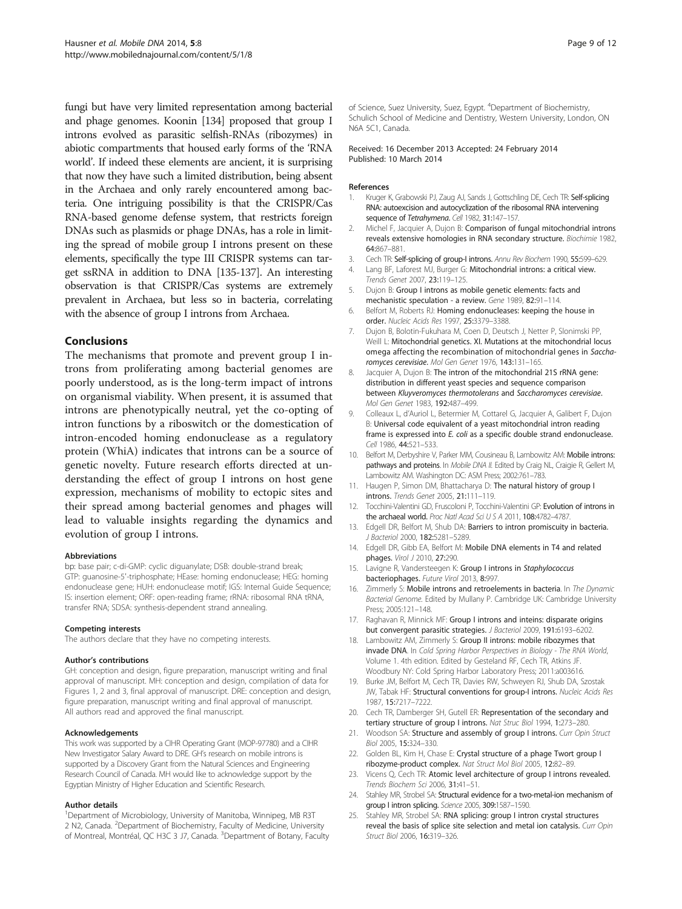<span id="page-8-0"></span>fungi but have very limited representation among bacterial and phage genomes. Koonin [\[134](#page-11-0)] proposed that group I introns evolved as parasitic selfish-RNAs (ribozymes) in abiotic compartments that housed early forms of the 'RNA world'. If indeed these elements are ancient, it is surprising that now they have such a limited distribution, being absent in the Archaea and only rarely encountered among bacteria. One intriguing possibility is that the CRISPR/Cas RNA-based genome defense system, that restricts foreign DNAs such as plasmids or phage DNAs, has a role in limiting the spread of mobile group I introns present on these elements, specifically the type III CRISPR systems can target ssRNA in addition to DNA [\[135](#page-11-0)-[137\]](#page-11-0). An interesting observation is that CRISPR/Cas systems are extremely prevalent in Archaea, but less so in bacteria, correlating with the absence of group I introns from Archaea.

# Conclusions

The mechanisms that promote and prevent group I introns from proliferating among bacterial genomes are poorly understood, as is the long-term impact of introns on organismal viability. When present, it is assumed that introns are phenotypically neutral, yet the co-opting of intron functions by a riboswitch or the domestication of intron-encoded homing endonuclease as a regulatory protein (WhiA) indicates that introns can be a source of genetic novelty. Future research efforts directed at understanding the effect of group I introns on host gene expression, mechanisms of mobility to ectopic sites and their spread among bacterial genomes and phages will lead to valuable insights regarding the dynamics and evolution of group I introns.

#### Abbreviations

bp: base pair; c-di-GMP: cyclic diguanylate; DSB: double-strand break; GTP: guanosine-5′-triphosphate; HEase: homing endonuclease; HEG: homing endonuclease gene; HUH: endonuclease motif; IGS: Internal Guide Sequence; IS: insertion element; ORF: open-reading frame; rRNA: ribosomal RNA tRNA, transfer RNA; SDSA: synthesis-dependent strand annealing.

#### Competing interests

The authors declare that they have no competing interests.

#### Author's contributions

GH: conception and design, figure preparation, manuscript writing and final approval of manuscript. MH: conception and design, compilation of data for Figures [1](#page-1-0), [2](#page-2-0) and [3,](#page-3-0) final approval of manuscript. DRE: conception and design, figure preparation, manuscript writing and final approval of manuscript. All authors read and approved the final manuscript.

#### Acknowledgements

This work was supported by a CIHR Operating Grant (MOP-97780) and a CIHR New Investigator Salary Award to DRE. GH's research on mobile introns is supported by a Discovery Grant from the Natural Sciences and Engineering Research Council of Canada. MH would like to acknowledge support by the Egyptian Ministry of Higher Education and Scientific Research.

#### Author details

<sup>1</sup>Department of Microbiology, University of Manitoba, Winnipeg, MB R3T 2 N2, Canada. <sup>2</sup>Department of Biochemistry, Faculty of Medicine, University of Montreal, Montréal, QC H3C 3 J7, Canada. <sup>3</sup>Department of Botany, Faculty

of Science, Suez University, Suez, Egypt. <sup>4</sup>Department of Biochemistry, Schulich School of Medicine and Dentistry, Western University, London, ON N6A 5C1, Canada.

#### Received: 16 December 2013 Accepted: 24 February 2014 Published: 10 March 2014

#### References

- 1. Kruger K, Grabowski PJ, Zaug AJ, Sands J, Gottschling DE, Cech TR: Self-splicing RNA: autoexcision and autocyclization of the ribosomal RNA intervening sequence of Tetrahymena. Cell 1982, 31:147-157.
- 2. Michel F, Jacquier A, Dujon B: Comparison of fungal mitochondrial introns reveals extensive homologies in RNA secondary structure. Biochimie 1982, 64:867–881.
- 3. Cech TR: Self-splicing of group-I introns. Annu Rev Biochem 1990, 55:599-629.
- 4. Lang BF, Laforest MJ, Burger G: Mitochondrial introns: a critical view. Trends Genet 2007, 23:119–125.
- 5. Dujon B: Group I introns as mobile genetic elements: facts and mechanistic speculation - a review. Gene 1989, 82:91–114.
- 6. Belfort M, Roberts RJ: Homing endonucleases: keeping the house in order. Nucleic Acids Res 1997, 25:3379–3388.
- 7. Dujon B, Bolotin-Fukuhara M, Coen D, Deutsch J, Netter P, Slonimski PP, Weill L: Mitochondrial genetics. XI. Mutations at the mitochondrial locus omega affecting the recombination of mitochondrial genes in Saccharomyces cerevisiae. Mol Gen Genet 1976, 143:131–165.
- 8. Jacquier A, Dujon B: The intron of the mitochondrial 21S rRNA gene: distribution in different yeast species and sequence comparison between Kluyveromyces thermotolerans and Saccharomyces cerevisiae. Mol Gen Genet 1983, 192:487–499.
- 9. Colleaux L, d'Auriol L, Betermier M, Cottarel G, Jacquier A, Galibert F, Dujon B: Universal code equivalent of a yeast mitochondrial intron reading frame is expressed into E. coli as a specific double strand endonuclease. Cell 1986, 44:521-533.
- 10. Belfort M, Derbyshire V, Parker MM, Cousineau B, Lambowitz AM: Mobile introns: pathways and proteins. In Mobile DNA II. Edited by Craig NL, Craigie R, Gellert M, Lambowitz AM. Washington DC: ASM Press; 2002:761–783.
- 11. Haugen P, Simon DM, Bhattacharya D: The natural history of group I introns. Trends Genet 2005, 21:111–119.
- 12. Tocchini-Valentini GD, Fruscoloni P, Tocchini-Valentini GP: Evolution of introns in the archaeal world. Proc Natl Acad Sci U S A 2011, 108:4782-4787.
- 13. Edgell DR, Belfort M, Shub DA: Barriers to intron promiscuity in bacteria. J Bacteriol 2000, 182:5281–5289.
- 14. Edgell DR, Gibb EA, Belfort M: Mobile DNA elements in T4 and related phages. Virol J 2010, 27:290.
- 15. Lavigne R, Vandersteegen K: Group I introns in Staphylococcus bacteriophages. Future Virol 2013, 8:997.
- 16. Zimmerly S: Mobile introns and retroelements in bacteria. In The Dynamic Bacterial Genome. Edited by Mullany P. Cambridge UK: Cambridge University Press; 2005:121–148.
- 17. Raghavan R, Minnick MF: Group I introns and inteins: disparate origins but convergent parasitic strategies. J Bacteriol 2009, 191:6193–6202.
- 18. Lambowitz AM, Zimmerly S: Group II introns: mobile ribozymes that invade DNA. In Cold Spring Harbor Perspectives in Biology - The RNA World, Volume 1. 4th edition. Edited by Gesteland RF, Cech TR, Atkins JF. Woodbury NY: Cold Spring Harbor Laboratory Press; 2011:a003616.
- 19. Burke JM, Belfort M, Cech TR, Davies RW, Schweyen RJ, Shub DA, Szostak JW, Tabak HF: Structural conventions for group-I introns. Nucleic Acids Res 1987, 15:7217–7222.
- 20. Cech TR, Damberger SH, Gutell ER: Representation of the secondary and tertiary structure of group I introns. Nat Struc Biol 1994, 1:273–280.
- 21. Woodson SA: Structure and assembly of group I introns. Curr Opin Struct Biol 2005, 15:324–330.
- 22. Golden BL, Kim H, Chase E: Crystal structure of a phage Twort group I ribozyme-product complex. Nat Struct Mol Biol 2005, 12:82–89.
- 23. Vicens Q, Cech TR: Atomic level architecture of group I introns revealed. Trends Biochem Sci 2006, 31:41–51.
- 24. Stahley MR, Strobel SA: Structural evidence for a two-metal-ion mechanism of group I intron splicing. Science 2005, 309:1587–1590.
- 25. Stahley MR, Strobel SA: RNA splicing: group I intron crystal structures reveal the basis of splice site selection and metal ion catalysis. Curr Opin Struct Biol 2006, 16:319–326.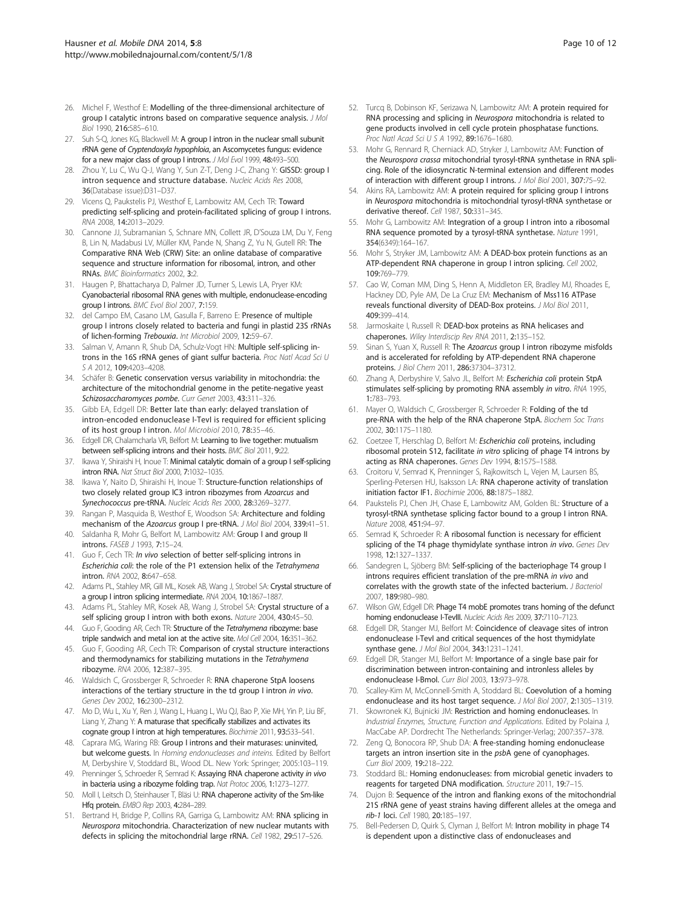- <span id="page-9-0"></span>26. Michel F, Westhof E: Modelling of the three-dimensional architecture of group I catalytic introns based on comparative sequence analysis. J Mol Biol 1990, 216:585–610.
- 27. Suh S-Q, Jones KG, Blackwell M: A group I intron in the nuclear small subunit rRNA gene of Cryptendoxyla hypophloia, an Ascomycetes fungus: evidence for a new major class of group I introns. J Mol Evol 1999, 48:493–500.
- 28. Zhou Y, Lu C, Wu Q-J, Wang Y, Sun Z-T, Deng J-C, Zhang Y: GISSD: group I intron sequence and structure database. Nucleic Acids Res 2008, 36(Database issue):D31–D37.
- 29. Vicens Q, Paukstelis PJ, Westhof E, Lambowitz AM, Cech TR: Toward predicting self-splicing and protein-facilitated splicing of group I introns. RNA 2008, 14:2013–2029.
- 30. Cannone JJ, Subramanian S, Schnare MN, Collett JR, D'Souza LM, Du Y, Feng B, Lin N, Madabusi LV, Müller KM, Pande N, Shang Z, Yu N, Gutell RR: The Comparative RNA Web (CRW) Site: an online database of comparative sequence and structure information for ribosomal, intron, and other RNAs. BMC Bioinformatics 2002, 3:2.
- 31. Haugen P, Bhattacharya D, Palmer JD, Turner S, Lewis LA, Pryer KM: Cyanobacterial ribosomal RNA genes with multiple, endonuclease-encoding group I introns. BMC Evol Biol 2007, 7:159.
- 32. del Campo EM, Casano LM, Gasulla F, Barreno E: Presence of multiple group I introns closely related to bacteria and fungi in plastid 23S rRNAs of lichen-forming Trebouxia. Int Microbiol 2009, 12:59–67.
- 33. Salman V, Amann R, Shub DA, Schulz-Vogt HN: Multiple self-splicing introns in the 16S rRNA genes of giant sulfur bacteria. Proc Natl Acad Sci U S A 2012, 109:4203–4208.
- 34. Schäfer B: Genetic conservation versus variability in mitochondria: the architecture of the mitochondrial genome in the petite-negative yeast Schizosaccharomyces pombe. Curr Genet 2003, 43:311-326.
- 35. Gibb EA, Edgell DR: Better late than early: delayed translation of intron-encoded endonuclease I-TevI is required for efficient splicing of its host group I intron. Mol Microbiol 2010, 78:35–46.
- 36. Edgell DR, Chalamcharla VR, Belfort M: Learning to live together: mutualism between self-splicing introns and their hosts. BMC Biol 2011, 9:22.
- 37. Ikawa Y, Shiraishi H, Inoue T: Minimal catalytic domain of a group I self-splicing intron RNA. Nat Struct Biol 2000, 7:1032–1035.
- 38. Ikawa Y, Naito D, Shiraishi H, Inoue T: Structure-function relationships of two closely related group IC3 intron ribozymes from Azoarcus and Synechococcus pre-tRNA. Nucleic Acids Res 2000, 28:3269–3277.
- 39. Rangan P, Masquida B, Westhof E, Woodson SA: Architecture and folding mechanism of the Azoarcus group I pre-tRNA. J Mol Biol 2004, 339:41-51.
- 40. Saldanha R, Mohr G, Belfort M, Lambowitz AM: Group I and group II introns. FASEB J 1993, 7:15–24.
- 41. Guo F, Cech TR: In vivo selection of better self-splicing introns in Escherichia coli: the role of the P1 extension helix of the Tetrahymena intron. RNA 2002, 8:647–658.
- 42. Adams PL, Stahley MR, Gill ML, Kosek AB, Wang J, Strobel SA: Crystal structure of a group I intron splicing intermediate. RNA 2004, 10:1867–1887.
- 43. Adams PL, Stahley MR, Kosek AB, Wang J, Strobel SA: Crystal structure of a self splicing group I intron with both exons. Nature 2004, 430:45–50.
- 44. Guo F, Gooding AR, Cech TR: Structure of the Tetrahymena ribozyme: base triple sandwich and metal ion at the active site. Mol Cell 2004, 16:351–362.
- 45. Guo F, Gooding AR, Cech TR: Comparison of crystal structure interactions and thermodynamics for stabilizing mutations in the Tetrahymena ribozyme. RNA 2006, 12:387–395.
- 46. Waldsich C, Grossberger R, Schroeder R: RNA chaperone StpA loosens interactions of the tertiary structure in the td group I intron in vivo. Genes Dev 2002, 16:2300–2312.
- 47. Mo D, Wu L, Xu Y, Ren J, Wang L, Huang L, Wu QJ, Bao P, Xie MH, Yin P, Liu BF, Liang Y, Zhang Y: A maturase that specifically stabilizes and activates its cognate group I intron at high temperatures. Biochimie 2011, 93:533–541.
- 48. Caprara MG, Waring RB: Group I introns and their maturases: uninvited, but welcome guests. In Homing endonucleases and inteins. Edited by Belfort M, Derbyshire V, Stoddard BL, Wood DL. New York: Springer; 2005:103–119.
- 49. Prenninger S, Schroeder R, Semrad K: Assaying RNA chaperone activity in vivo in bacteria using a ribozyme folding trap. Nat Protoc 2006, 1:1273–1277.
- 50. Moll I, Leitsch D, Steinhauser T, Bläsi U: RNA chaperone activity of the Sm-like Hfq protein. EMBO Rep 2003, 4:284–289.
- 51. Bertrand H, Bridge P, Collins RA, Garriga G, Lambowitz AM: RNA splicing in Neurospora mitochondria. Characterization of new nuclear mutants with defects in splicing the mitochondrial large rRNA. Cell 1982, 29:517-526.
- 52. Turcq B, Dobinson KF, Serizawa N, Lambowitz AM: A protein required for RNA processing and splicing in Neurospora mitochondria is related to gene products involved in cell cycle protein phosphatase functions. Proc Natl Acad Sci U S A 1992, 89:1676-1680.
- 53. Mohr G, Rennard R, Cherniack AD, Stryker J, Lambowitz AM: Function of the Neurospora crassa mitochondrial tyrosyl-tRNA synthetase in RNA splicing. Role of the idiosyncratic N-terminal extension and different modes of interaction with different group I introns. J Mol Biol 2001, 307:75–92.
- 54. Akins RA, Lambowitz AM: A protein required for splicing group I introns in Neurospora mitochondria is mitochondrial tyrosyl-tRNA synthetase or derivative thereof. Cell 1987, 50:331-345.
- 55. Mohr G, Lambowitz AM: Integration of a group I intron into a ribosomal RNA sequence promoted by a tyrosyl-tRNA synthetase. Nature 1991, 354(6349):164–167.
- Mohr S, Stryker JM, Lambowitz AM: A DEAD-box protein functions as an ATP-dependent RNA chaperone in group I intron splicing. Cell 2002, 109:769–779.
- 57. Cao W, Coman MM, Ding S, Henn A, Middleton ER, Bradley MJ, Rhoades E, Hackney DD, Pyle AM, De La Cruz EM: Mechanism of Mss116 ATPase reveals functional diversity of DEAD-Box proteins. J Mol Biol 2011, 409:399–414.
- 58. Jarmoskaite I, Russell R: DEAD-box proteins as RNA helicases and chaperones. Wiley Interdiscip Rev RNA 2011, 2:135–152.
- 59. Sinan S, Yuan X, Russell R: The Azoarcus group I intron ribozyme misfolds and is accelerated for refolding by ATP-dependent RNA chaperone proteins. J Biol Chem 2011, 286:37304–37312.
- 60. Zhang A, Derbyshire V, Salvo JL, Belfort M: Escherichia coli protein StpA stimulates self-splicing by promoting RNA assembly in vitro. RNA 1995, 1:783–793.
- 61. Mayer O, Waldsich C, Grossberger R, Schroeder R: Folding of the td pre-RNA with the help of the RNA chaperone StpA. Biochem Soc Trans 2002, 30:1175–1180.
- 62. Coetzee T, Herschlag D, Belfort M: *Escherichia coli* proteins, including ribosomal protein S12, facilitate in vitro splicing of phage T4 introns by acting as RNA chaperones. Genes Dev 1994, 8:1575–1588.
- 63. Croitoru V, Semrad K, Prenninger S, Rajkowitsch L, Vejen M, Laursen BS, Sperling-Petersen HU, Isaksson LA: RNA chaperone activity of translation initiation factor IF1. Biochimie 2006, 88:1875–1882.
- 64. Paukstelis PJ, Chen JH, Chase E, Lambowitz AM, Golden BL: Structure of a tyrosyl-tRNA synthetase splicing factor bound to a group I intron RNA. Nature 2008, 451:94–97.
- 65. Semrad K, Schroeder R: A ribosomal function is necessary for efficient splicing of the T4 phage thymidylate synthase intron in vivo. Genes Dev 1998, 12:1327–1337.
- 66. Sandegren L, Sjöberg BM: Self-splicing of the bacteriophage T4 group I introns requires efficient translation of the pre-mRNA in vivo and correlates with the growth state of the infected bacterium. J Bacteriol 2007, 189:980–980.
- 67. Wilson GW, Edgell DR: Phage T4 mobE promotes trans homing of the defunct homing endonuclease I-TevIII. Nucleic Acids Res 2009, 37:7110-7123
- 68. Edgell DR, Stanger MJ, Belfort M: Coincidence of cleavage sites of intron endonuclease I-TevI and critical sequences of the host thymidylate synthase gene. J Mol Biol 2004, 343:1231–1241.
- 69. Edgell DR, Stanger MJ, Belfort M: Importance of a single base pair for discrimination between intron-containing and intronless alleles by endonuclease I-BmoI. Curr Biol 2003, 13:973–978.
- 70. Scalley-Kim M, McConnell-Smith A, Stoddard BL: Coevolution of a homing endonuclease and its host target sequence. J Mol Biol 2007, 2:1305–1319.
- 71. Skowronek KJ, Bujnicki JM: Restriction and homing endonucleases. In Industrial Enzymes, Structure, Function and Applications. Edited by Polaina J, MacCabe AP. Dordrecht The Netherlands: Springer-Verlag; 2007:357–378.
- 72. Zeng Q, Bonocora RP, Shub DA: A free-standing homing endonuclease targets an intron insertion site in the psbA gene of cyanophages. Curr Biol 2009, 19:218–222.
- 73. Stoddard BL: Homing endonucleases: from microbial genetic invaders to reagents for targeted DNA modification. Structure 2011, 19:7–15.
- 74. Dujon B: Sequence of the intron and flanking exons of the mitochondrial 21S rRNA gene of yeast strains having different alleles at the omega and rib-1 loci. Cell 1980, 20:185–197.
- 75. Bell-Pedersen D, Quirk S, Clyman J, Belfort M: Intron mobility in phage T4 is dependent upon a distinctive class of endonucleases and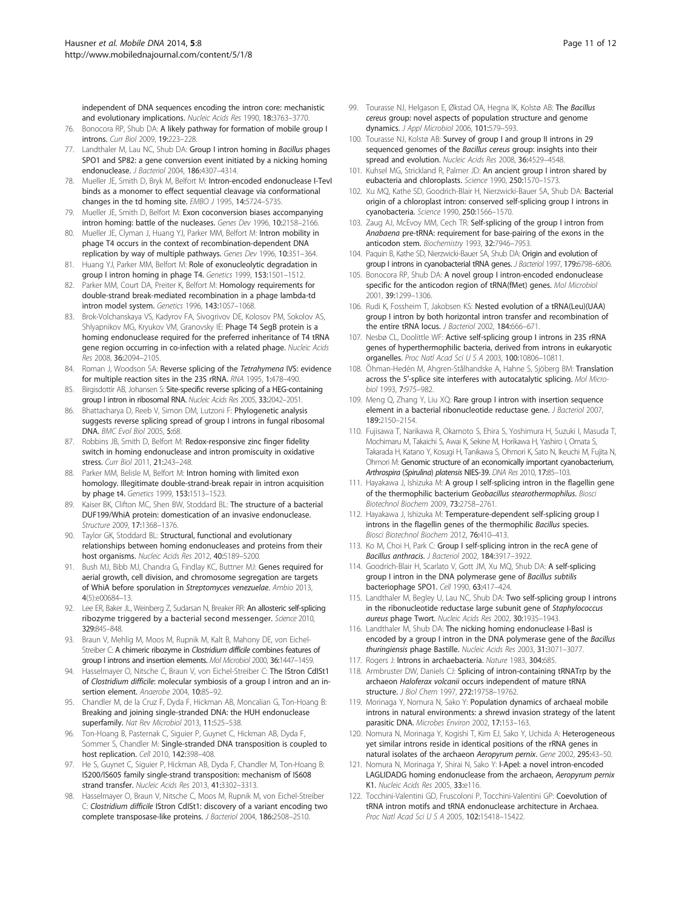<span id="page-10-0"></span>independent of DNA sequences encoding the intron core: mechanistic and evolutionary implications. Nucleic Acids Res 1990, 18:3763–3770.

- 76. Bonocora RP, Shub DA: A likely pathway for formation of mobile group I introns. Curr Biol 2009, 19:223–228.
- 77. Landthaler M, Lau NC, Shub DA: Group I intron homing in Bacillus phages SPO1 and SP82: a gene conversion event initiated by a nicking homing endonuclease. J Bacteriol 2004, 186:4307–4314.
- 78. Mueller JE, Smith D, Bryk M, Belfort M: Intron-encoded endonuclease I-TevI binds as a monomer to effect sequential cleavage via conformational changes in the td homing site. EMBO J 1995, 14:5724–5735.
- 79. Mueller JE, Smith D, Belfort M: Exon coconversion biases accompanying intron homing: battle of the nucleases. Genes Dev 1996, 10:2158–2166.
- 80. Mueller JE, Clyman J, Huang YJ, Parker MM, Belfort M: Intron mobility in phage T4 occurs in the context of recombination-dependent DNA replication by way of multiple pathways. Genes Dev 1996, 10:351–364.
- 81. Huang YJ, Parker MM, Belfort M: Role of exonucleolytic degradation in group I intron homing in phage T4. Genetics 1999, 153:1501–1512.
- 82. Parker MM, Court DA, Preiter K, Belfort M: Homology requirements for double-strand break-mediated recombination in a phage lambda-td intron model system. Genetics 1996, 143:1057–1068.
- 83. Brok-Volchanskaya VS, Kadyrov FA, Sivogrivov DE, Kolosov PM, Sokolov AS, Shlyapnikov MG, Kryukov VM, Granovsky IE: Phage T4 SegB protein is a homing endonuclease required for the preferred inheritance of T4 tRNA gene region occurring in co-infection with a related phage. Nucleic Acids Res 2008, 36:2094–2105.
- 84. Roman J, Woodson SA: Reverse splicing of the Tetrahymena IVS: evidence for multiple reaction sites in the 23S rRNA. RNA 1995, 1:478–490.
- 85. Birgisdottir AB, Johansen S: Site-specific reverse splicing of a HEG-containing group I intron in ribosomal RNA. Nucleic Acids Res 2005, 33:2042–2051.
- 86. Bhattacharya D, Reeb V, Simon DM, Lutzoni F: Phylogenetic analysis suggests reverse splicing spread of group I introns in fungal ribosomal DNA. BMC Evol Biol 2005, 5:68.
- 87. Robbins JB, Smith D, Belfort M: Redox-responsive zinc finger fidelity switch in homing endonuclease and intron promiscuity in oxidative stress. Curr Biol 2011, 21:243–248.
- 88. Parker MM, Belisle M, Belfort M: Intron homing with limited exon homology. Illegitimate double-strand-break repair in intron acquisition by phage t4. Genetics 1999, 153:1513–1523.
- 89. Kaiser BK, Clifton MC, Shen BW, Stoddard BL: The structure of a bacterial DUF199/WhiA protein: domestication of an invasive endonuclease. Structure 2009, 17:1368–1376.
- 90. Taylor GK, Stoddard BL: Structural, functional and evolutionary relationships between homing endonucleases and proteins from their host organisms. Nucleic Acids Res 2012, 40:5189–5200.
- 91. Bush MJ, Bibb MJ, Chandra G, Findlay KC, Buttner MJ: Genes required for aerial growth, cell division, and chromosome segregation are targets of WhiA before sporulation in Streptomyces venezuelae. Ambio 2013, 4(5):e00684–13.
- 92. Lee ER, Baker JL, Weinberg Z, Sudarsan N, Breaker RR: An allosteric self-splicing ribozyme triggered by a bacterial second messenger. Science 2010, 329:845–848.
- 93. Braun V, Mehlig M, Moos M, Rupnik M, Kalt B, Mahony DE, von Eichel-Streiber C: A chimeric ribozyme in Clostridium difficile combines features of group I introns and insertion elements. Mol Microbiol 2000, 36:1447–1459.
- 94. Hasselmayer O, Nitsche C, Braun V, von Eichel-Streiber C: The IStron CdISt1 of Clostridium difficile: molecular symbiosis of a group I intron and an insertion element. Anaerobe 2004, 10:85–92.
- 95. Chandler M, de la Cruz F, Dyda F, Hickman AB, Moncalian G, Ton-Hoang B: Breaking and joining single-stranded DNA: the HUH endonuclease superfamily. Nat Rev Microbiol 2013, 11:525–538.
- 96. Ton-Hoang B, Pasternak C, Siguier P, Guynet C, Hickman AB, Dyda F, Sommer S, Chandler M: Single-stranded DNA transposition is coupled to host replication. Cell 2010, 142:398–408.
- 97. He S, Guynet C, Siguier P, Hickman AB, Dyda F, Chandler M, Ton-Hoang B: IS200/IS605 family single-strand transposition: mechanism of IS608 strand transfer. Nucleic Acids Res 2013, 41:3302–3313.
- 98. Hasselmayer O, Braun V, Nitsche C, Moos M, Rupnik M, von Eichel-Streiber C: Clostridium difficile IStron CdISt1: discovery of a variant encoding two complete transposase-like proteins. J Bacteriol 2004, 186:2508–2510.
- 99. Tourasse NJ, Helgason E, Økstad OA, Hegna IK, Kolstø AB: The Bacillus cereus group: novel aspects of population structure and genome dynamics. J Appl Microbiol 2006, 101:579–593.
- 100. Tourasse NJ, Kolstø AB: Survey of group I and group II introns in 29 sequenced genomes of the Bacillus cereus group: insights into their spread and evolution. Nucleic Acids Res 2008, 36:4529–4548.
- 101. Kuhsel MG, Strickland R, Palmer JD: An ancient group I intron shared by eubacteria and chloroplasts. Science 1990, 250:1570–1573.
- 102. Xu MQ, Kathe SD, Goodrich-Blair H, Nierzwicki-Bauer SA, Shub DA: Bacterial origin of a chloroplast intron: conserved self-splicing group I introns in cyanobacteria. Science 1990, 250:1566–1570.
- 103. Zaug AJ, McEvoy MM, Cech TR: Self-splicing of the group I intron from Anabaena pre-tRNA: requirement for base-pairing of the exons in the anticodon stem. Biochemistry 1993, 32:7946–7953.
- 104. Paquin B, Kathe SD, Nierzwicki-Bauer SA, Shub DA: Origin and evolution of group I introns in cyanobacterial tRNA genes. J Bacteriol 1997, 179:6798-6806.
- 105. Bonocora RP, Shub DA: A novel group I intron-encoded endonuclease specific for the anticodon region of tRNA(fMet) genes. Mol Microbiol 2001, 39:1299–1306.
- 106. Rudi K, Fossheim T, Jakobsen KS: Nested evolution of a tRNA(Leu)(UAA) group I intron by both horizontal intron transfer and recombination of the entire tRNA locus. J Bacteriol 2002, 184:666-671.
- 107. Nesbø CL, Doolittle WF: Active self-splicing group I introns in 23S rRNA genes of hyperthermophilic bacteria, derived from introns in eukaryotic organelles. Proc Natl Acad Sci U S A 2003, 100:10806–10811.
- 108. Öhman-Hedén M, Ahgren-Stålhandske A, Hahne S, Sjöberg BM: Translation across the 5'-splice site interferes with autocatalytic splicing. Mol Microbiol 1993, 7:975–982.
- 109. Meng Q, Zhang Y, Liu XQ: Rare group I intron with insertion sequence element in a bacterial ribonucleotide reductase gene. J Bacteriol 2007, 189:2150–2154.
- 110. Fujisawa T, Narikawa R, Okamoto S, Ehira S, Yoshimura H, Suzuki I, Masuda T, Mochimaru M, Takaichi S, Awai K, Sekine M, Horikawa H, Yashiro I, Omata S, Takarada H, Katano Y, Kosugi H, Tanikawa S, Ohmori K, Sato N, Ikeuchi M, Fujita N, Ohmori M: Genomic structure of an economically important cyanobacterium, Arthrospira (Spirulina) platensis NIES-39. DNA Res 2010, 17:85–103.
- 111. Hayakawa J, Ishizuka M: A group I self-splicing intron in the flagellin gene of the thermophilic bacterium Geobacillus stearothermophilus. Biosci Biotechnol Biochem 2009, 73:2758–2761.
- 112. Hayakawa J, Ishizuka M: Temperature-dependent self-splicing group I introns in the flagellin genes of the thermophilic Bacillus species. Biosci Biotechnol Biochem 2012, 76:410–413.
- 113. Ko M, Choi H, Park C: Group I self-splicing intron in the recA gene of Bacillus anthracis. J Bacteriol 2002, 184:3917–3922.
- 114. Goodrich-Blair H, Scarlato V, Gott JM, Xu MQ, Shub DA: A self-splicing group I intron in the DNA polymerase gene of Bacillus subtilis bacteriophage SPO1. Cell 1990, 63:417–424.
- 115. Landthaler M, Begley U, Lau NC, Shub DA: Two self-splicing group I introns in the ribonucleotide reductase large subunit gene of Staphylococcus aureus phage Twort. Nucleic Acids Res 2002, 30:1935–1943.
- 116. Landthaler M, Shub DA: The nicking homing endonuclease I-BasI is encoded by a group I intron in the DNA polymerase gene of the Bacillus thuringiensis phage Bastille. Nucleic Acids Res 2003, 31:3071–3077.
- 117. Rogers J: Introns in archaebacteria. Nature 1983, 304:685
- 118. Armbruster DW, Daniels CJ: Splicing of intron-containing tRNATrp by the archaeon Haloferax volcanii occurs independent of mature tRNA structure. J Biol Chem 1997, 272:19758–19762.
- 119. Morinaga Y, Nomura N, Sako Y: Population dynamics of archaeal mobile introns in natural environments: a shrewd invasion strategy of the latent parasitic DNA. Microbes Environ 2002, 17:153–163.
- 120. Nomura N, Morinaga Y, Kogishi T, Kim EJ, Sako Y, Uchida A: Heterogeneous yet similar introns reside in identical positions of the rRNA genes in natural isolates of the archaeon Aeropyrum pernix. Gene 2002, 295:43–50.
- 121. Nomura N, Morinaga Y, Shirai N, Sako Y: I-Apel: a novel intron-encoded LAGLIDADG homing endonuclease from the archaeon, Aeropyrum pernix K1. Nucleic Acids Res 2005, 33:e116.
- 122. Tocchini-Valentini GD, Fruscoloni P, Tocchini-Valentini GP: Coevolution of tRNA intron motifs and tRNA endonuclease architecture in Archaea. Proc Natl Acad Sci U S A 2005, 102:15418–15422.